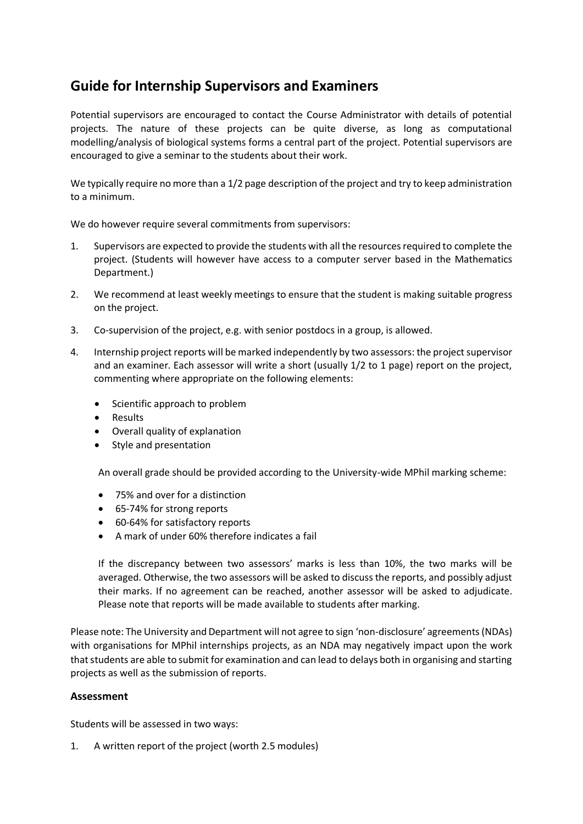# **Guide for Internship Supervisors and Examiners**

Potential supervisors are encouraged to contact the Course Administrator with details of potential projects. The nature of these projects can be quite diverse, as long as computational modelling/analysis of biological systems forms a central part of the project. Potential supervisors are encouraged to give a seminar to the students about their work.

We typically require no more than a 1/2 page description of the project and try to keep administration to a minimum.

We do however require several commitments from supervisors:

- 1. Supervisors are expected to provide the students with all the resources required to complete the project. (Students will however have access to a computer server based in the Mathematics Department.)
- 2. We recommend at least weekly meetings to ensure that the student is making suitable progress on the project.
- 3. Co-supervision of the project, e.g. with senior postdocs in a group, is allowed.
- 4. Internship project reports will be marked independently by two assessors: the project supervisor and an examiner. Each assessor will write a short (usually 1/2 to 1 page) report on the project, commenting where appropriate on the following elements:
	- Scientific approach to problem
	- Results
	- Overall quality of explanation
	- Style and presentation

An overall grade should be provided according to the University-wide MPhil marking scheme:

- 75% and over for a distinction
- 65-74% for strong reports
- 60-64% for satisfactory reports
- A mark of under 60% therefore indicates a fail

If the discrepancy between two assessors' marks is less than 10%, the two marks will be averaged. Otherwise, the two assessors will be asked to discuss the reports, and possibly adjust their marks. If no agreement can be reached, another assessor will be asked to adjudicate. Please note that reports will be made available to students after marking.

Please note: The University and Department will not agree to sign 'non-disclosure' agreements (NDAs) with organisations for MPhil internships projects, as an NDA may negatively impact upon the work that students are able to submit for examination and can lead to delays both in organising and starting projects as well as the submission of reports.

## **Assessment**

Students will be assessed in two ways:

1. A written report of the project (worth 2.5 modules)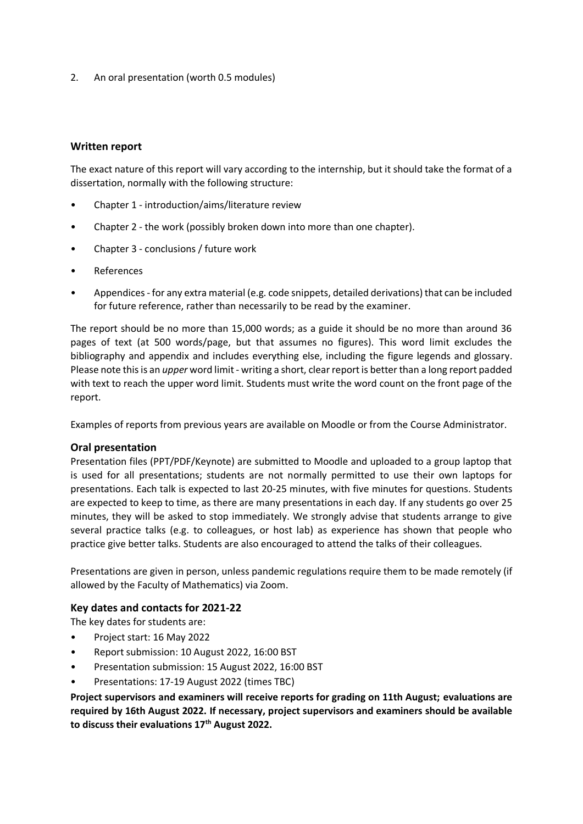2. An oral presentation (worth 0.5 modules)

## **Written report**

The exact nature of this report will vary according to the internship, but it should take the format of a dissertation, normally with the following structure:

- Chapter 1 introduction/aims/literature review
- Chapter 2 the work (possibly broken down into more than one chapter).
- Chapter 3 conclusions / future work
- **References**
- Appendices for any extra material (e.g. code snippets, detailed derivations) that can be included for future reference, rather than necessarily to be read by the examiner.

The report should be no more than 15,000 words; as a guide it should be no more than around 36 pages of text (at 500 words/page, but that assumes no figures). This word limit excludes the bibliography and appendix and includes everything else, including the figure legends and glossary. Please note this is an *upper* word limit - writing a short, clear report is better than a long report padded with text to reach the upper word limit. Students must write the word count on the front page of the report.

Examples of reports from previous years are available on Moodle or from the Course Administrator.

### **Oral presentation**

Presentation files (PPT/PDF/Keynote) are submitted to Moodle and uploaded to a group laptop that is used for all presentations; students are not normally permitted to use their own laptops for presentations. Each talk is expected to last 20-25 minutes, with five minutes for questions. Students are expected to keep to time, as there are many presentations in each day. If any students go over 25 minutes, they will be asked to stop immediately. We strongly advise that students arrange to give several practice talks (e.g. to colleagues, or host lab) as experience has shown that people who practice give better talks. Students are also encouraged to attend the talks of their colleagues.

Presentations are given in person, unless pandemic regulations require them to be made remotely (if allowed by the Faculty of Mathematics) via Zoom.

### **Key dates and contacts for 2021-22**

The key dates for students are:

- Project start: 16 May 2022
- Report submission: 10 August 2022, 16:00 BST
- Presentation submission: 15 August 2022, 16:00 BST
- Presentations: 17-19 August 2022 (times TBC)

**Project supervisors and examiners will receive reports for grading on 11th August; evaluations are required by 16th August 2022. If necessary, project supervisors and examiners should be available to discuss their evaluations 17th August 2022.**